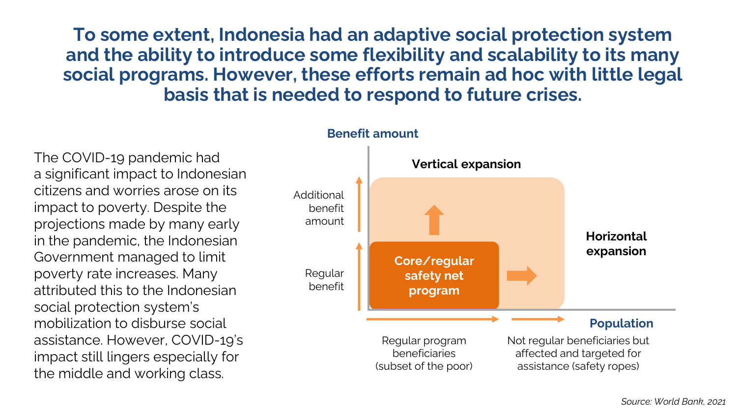**To some extent, Indonesia had an adaptive social protection system and the ability to introduce some flexibility and scalability to its many social programs. However, these efforts remain ad hoc with little legal basis that is needed to respond to future crises.**

The COVID-19 pandemic had a significant impact to Indonesian citizens and worries arose on its impact to poverty. Despite the projections made by many early in the pandemic, the Indonesian Government managed to limit poverty rate increases. Many attributed this to the Indonesian social protection system's mobilization to disburse social assistance. However, COVID-19's impact still lingers especially for the middle and working class.



## **Benefit amount**